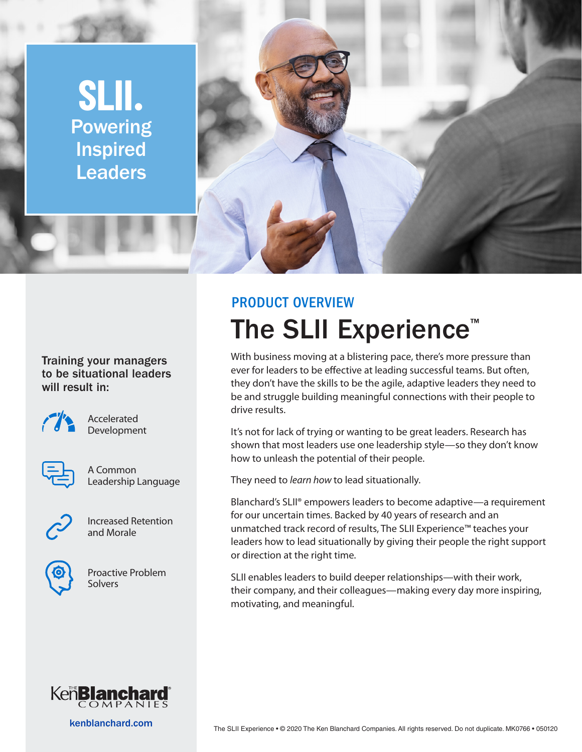**SLII.** Powering Inspired Leaders



## Training your managers to be situational leaders will result in:



Accelerated Development



A Common Leadership Language



Increased Retention and Morale



Proactive Problem Solvers



kenblanchard.com

## The SLII Experience<sup>™</sup> PRODUCT OVERVIEW

With business moving at a blistering pace, there's more pressure than ever for leaders to be effective at leading successful teams. But often, they don't have the skills to be the agile, adaptive leaders they need to be and struggle building meaningful connections with their people to drive results.

It's not for lack of trying or wanting to be great leaders. Research has shown that most leaders use one leadership style—so they don't know how to unleash the potential of their people.

They need to *learn how* to lead situationally.

Blanchard's SLII® empowers leaders to become adaptive—a requirement for our uncertain times. Backed by 40 years of research and an unmatched track record of results, The SLII Experience™ teaches your leaders how to lead situationally by giving their people the right support or direction at the right time.

SLII enables leaders to build deeper relationships—with their work, their company, and their colleagues—making every day more inspiring, motivating, and meaningful.